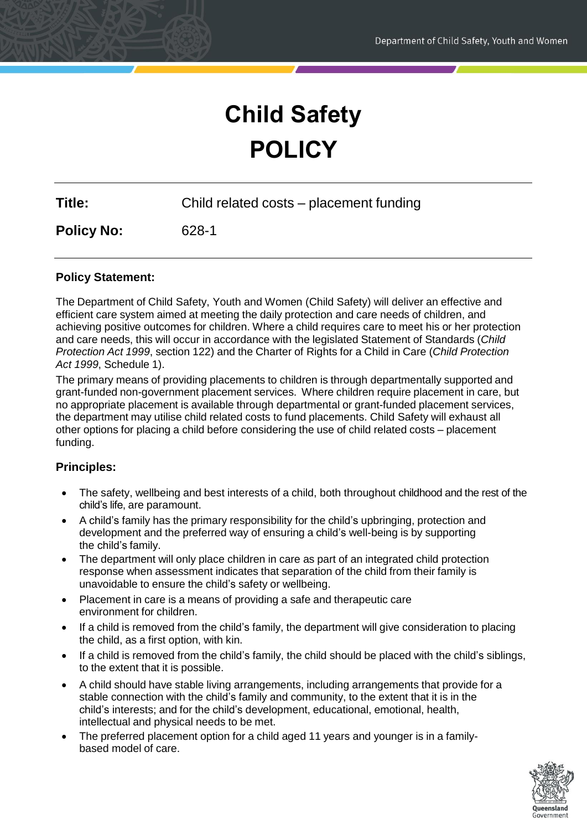# **Child Safety POLICY**

| <b>Title:</b> | Child related costs - placement funding |  |
|---------------|-----------------------------------------|--|
|               |                                         |  |

**Policy No:** 628-1

# **Policy Statement:**

The Department of Child Safety, Youth and Women (Child Safety) will deliver an effective and efficient care system aimed at meeting the daily protection and care needs of children, and achieving positive outcomes for children. Where a child requires care to meet his or her protection and care needs, this will occur in accordance with the legislated Statement of Standards (*Child Protection Act 1999*, section 122) and the Charter of Rights for a Child in Care (*Child Protection Act 1999*, Schedule 1).

The primary means of providing placements to children is through departmentally supported and grant-funded non-government placement services. Where children require placement in care, but no appropriate placement is available through departmental or grant-funded placement services, the department may utilise child related costs to fund placements. Child Safety will exhaust all other options for placing a child before considering the use of child related costs – placement funding.

#### **Principles:**

- The safety, wellbeing and best interests of a child, both throughout childhood and the rest of the child's life, are paramount.
- A child's family has the primary responsibility for the child's upbringing, protection and development and the preferred way of ensuring a child's well-being is by supporting the child's family.
- The department will only place children in care as part of an integrated child protection response when assessment indicates that separation of the child from their family is unavoidable to ensure the child's safety or wellbeing.
- Placement in care is a means of providing a safe and therapeutic care environment for children.
- If a child is removed from the child's family, the department will give consideration to placing the child, as a first option, with kin.
- If a child is removed from the child's family, the child should be placed with the child's siblings, to the extent that it is possible.
- A child should have stable living arrangements, including arrangements that provide for a stable connection with the child's family and community, to the extent that it is in the child's interests; and for the child's development, educational, emotional, health, intellectual and physical needs to be met.
- The preferred placement option for a child aged 11 years and younger is in a familybased model of care.

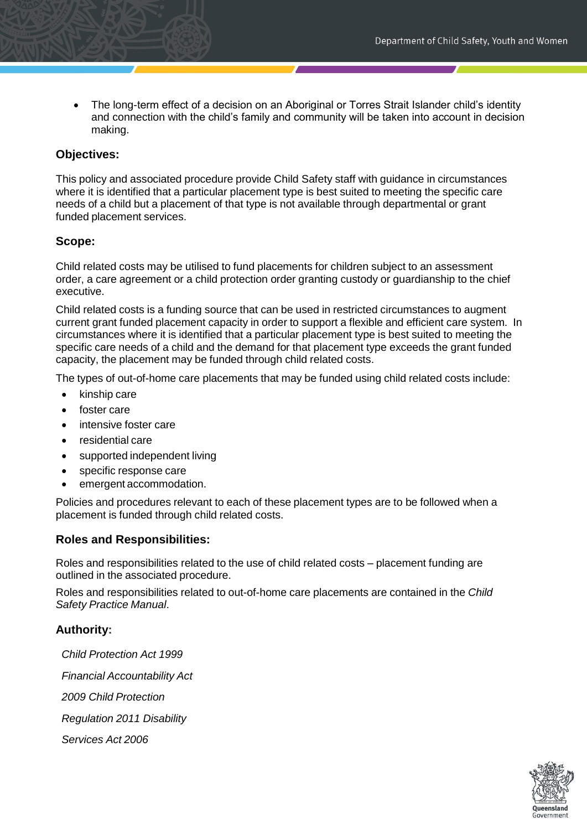The long-term effect of a decision on an Aboriginal or Torres Strait Islander child's identity and connection with the child's family and community will be taken into account in decision making.

#### **Objectives:**

This policy and associated procedure provide Child Safety staff with guidance in circumstances where it is identified that a particular placement type is best suited to meeting the specific care needs of a child but a placement of that type is not available through departmental or grant funded placement services.

#### **Scope:**

Child related costs may be utilised to fund placements for children subject to an assessment order, a care agreement or a child protection order granting custody or guardianship to the chief executive.

Child related costs is a funding source that can be used in restricted circumstances to augment current grant funded placement capacity in order to support a flexible and efficient care system. In circumstances where it is identified that a particular placement type is best suited to meeting the specific care needs of a child and the demand for that placement type exceeds the grant funded capacity, the placement may be funded through child related costs.

The types of out-of-home care placements that may be funded using child related costs include:

- kinship care
- foster care
- intensive foster care
- residential care
- supported independent living
- specific response care
- emergent accommodation.

Policies and procedures relevant to each of these placement types are to be followed when a placement is funded through child related costs.

#### **Roles and Responsibilities:**

Roles and responsibilities related to the use of child related costs – placement funding are outlined in the associated procedure.

Roles and responsibilities related to out-of-home care placements are contained in the *Child Safety Practice Manual*.

#### **Authority:**

*Child Protection Act 1999 Financial Accountability Act 2009 Child Protection Regulation 2011 Disability Services Act 2006*

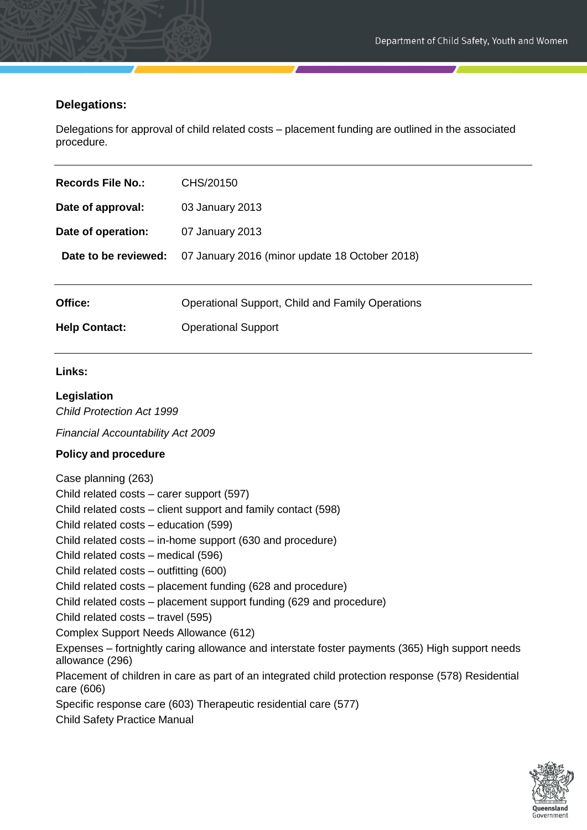### **Delegations:**

Delegations for approval of child related costs – placement funding are outlined in the associated procedure.

| Records File No.:    | CHS/20150                                        |
|----------------------|--------------------------------------------------|
| Date of approval:    | 03 January 2013                                  |
| Date of operation:   | 07 January 2013                                  |
| Date to be reviewed: | 07 January 2016 (minor update 18 October 2018)   |
|                      |                                                  |
| Office:              | Operational Support, Child and Family Operations |
| <b>Help Contact:</b> | <b>Operational Support</b>                       |

#### **Links:**

#### **Legislation**

*Child Protection Act 1999*

*Financial Accountability Act 2009*

#### **Policy and procedure**

Case planning (263) Child related costs – carer support (597) Child related costs – client support and family contact (598) Child related costs – education (599) Child related costs – in-home support (630 and procedure) Child related costs – medical (596) Child related costs – outfitting (600) Child related costs – placement funding (628 and procedure) Child related costs – placement support funding (629 and procedure) Child related costs – travel (595) Complex Support Needs Allowance (612) Expenses – fortnightly caring allowance and interstate foster payments (365) High support needs allowance (296) Placement of children in care as part of an integrated child protection response (578) Residential care (606) Specific response care (603) Therapeutic residential care (577)

Child Safety Practice Manual